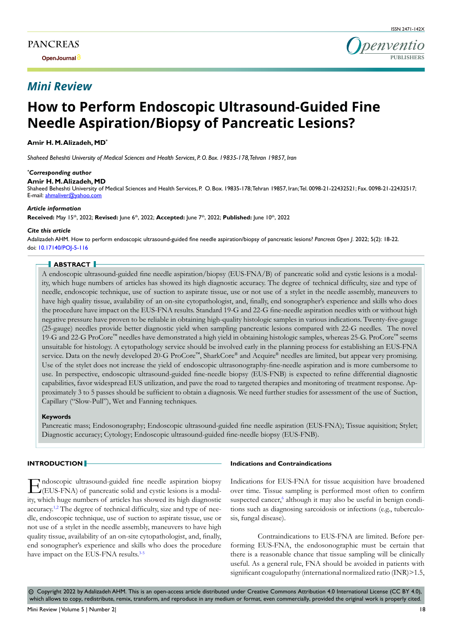**Open Journal**

# *Mini Review*



# **How to Perform Endoscopic Ultrasound-Guided Fine Needle Aspiration/Biopsy of Pancreatic Lesions?**

**Amir H. M. Alizadeh, MD\***

*Shaheed Beheshti University of Medical Sciences and Health Services, P. O. Box. 19835-178, Tehran 19857, Iran*

#### *\* Corresponding author*

**Amir H. M. Alizadeh, MD**

Shaheed Beheshti University of Medical Sciences and Health Services, P. O. Box. 19835-178; Tehran 19857, Iran; Tel. 0098-21-22432521; Fax. 0098-21-22432517; E-mail: ahmaliver@yahoo.com

#### *Article information*

**Received:** May 15th, 2022; **Revised:** June 6th, 2022; **Accepted:** June 7th, 2022; **Published:** June 10th, 2022

#### *Cite this article*

Adalizadeh AHM. How to perform endoscopic ultrasound-guided fine needle aspiration/biopsy of pancreatic lesions? *Pancreas Open J*. 2022; 5(2): 18-22. doi: [10.17140/POJ-5-116](http://dx.doi.org/10.17140/POJ-5-116)

# **ABSTRACT**

A endoscopic ultrasound-guided fine needle aspiration/biopsy (EUS-FNA/B) of pancreatic solid and cystic lesions is a modality, which huge numbers of articles has showed its high diagnostic accuracy. The degree of technical difficulty, size and type of needle, endoscopic technique, use of suction to aspirate tissue, use or not use of a stylet in the needle assembly, maneuvers to have high quality tissue, availability of an on-site cytopathologist, and, finally, end sonographer's experience and skills who does the procedure have impact on the EUS-FNA results. Standard 19-G and 22-G fine-needle aspiration needles with or without high negative pressure have proven to be reliable in obtaining high-quality histologic samples in various indications. Twenty-five-gauge (25-gauge) needles provide better diagnostic yield when sampling pancreatic lesions compared with 22-G needles. The novel 19-G and 22-G ProCore™ needles have demonstrated a high yield in obtaining histologic samples, whereas 25-G. ProCore™ seems unsuitable for histology. A cytopathology service should be involved early in the planning process for establishing an EUS-FNA service. Data on the newly developed 20-G ProCore<sup>™</sup>, SharkCore® and Acquire® needles are limited, but appear very promising. Use of the stylet does not increase the yield of endoscopic ultrasonography-fine-needle aspiration and is more cumbersome to use. In perspective, endoscopic ultrasound-guided fine-needle biopsy (EUS-FNB) is expected to refine differential diagnostic capabilities, favor widespread EUS utilization, and pave the road to targeted therapies and monitoring of treatment response. Approximately 3 to 5 passes should be sufficient to obtain a diagnosis. We need further studies for assessment of the use of Suction, Capillary ("Slow-Pull"), Wet and Fanning techniques.

#### **Keywords**

Pancreatic mass; Endosonography; Endoscopic ultrasound-guided fine needle aspiration (EUS-FNA); Tissue aquisition; Stylet; Diagnostic accuracy; Cytology; Endoscopic ultrasound-guided fine-needle biopsy (EUS-FNB).

#### **INTRODUCTION**

 $\prod_{i \in I}$ ndoscopic ultrasound-guided fine needle aspiration biopsy (EUS-FNA) of pancreatic solid and cystic lesions is a modality, which huge numbers of articles has showed its high diagnostic accuracy[.1,2](#page-2-0) The degree of technical difficulty, size and type of needle, endoscopic technique, use of suction to aspirate tissue, use or not use of a stylet in the needle assembly, maneuvers to have high quality tissue, availability of an on-site cytopathologist, and, finally, end sonographer's experience and skills who does the procedure have impact on the EUS-FNA results.<sup>[3-5](#page-2-1)</sup>

#### **Indications and Contraindications**

Indications for EUS-FNA for tissue acquisition have broadened over time. Tissue sampling is performed most often to confirm suspected cancer,<sup>[6](#page-2-2)</sup> although it may also be useful in benign conditions such as diagnosing sarcoidosis or infections (e.g., tuberculosis, fungal disease).

Contraindications to EUS-FNA are limited. Before performing EUS-FNA, the endosonographic must be certain that there is a reasonable chance that tissue sampling will be clinically useful. As a general rule, FNA should be avoided in patients with significant coagulopathy (international normalized ratio (INR) > 1.5,

 Copyright 2022 by Adalizadeh AHM. This is an open-access article distributed under Creative Commons Attribution 4.0 International License (CC BY 4.0), cc which allows to copy, redistribute, remix, transform, and reproduce in any medium or format, even commercially, provided the original work is properly cited.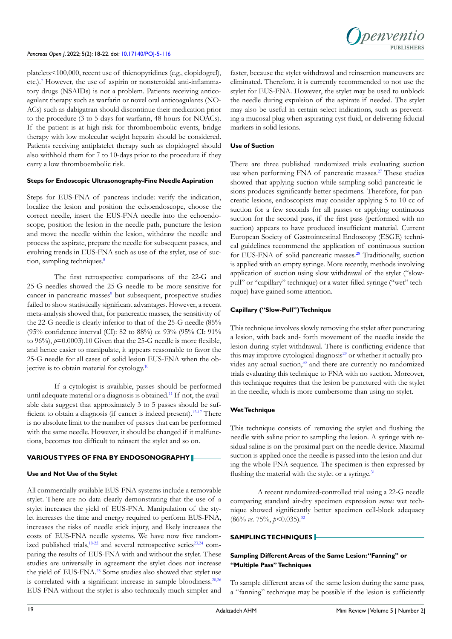*penventic* **PUBLISHERS**

platelets<100,000, recent use of thienopyridines (e.g., clopidogrel), etc.).<sup>[7](#page-2-3)</sup> However, the use of aspirin or nonsteroidal anti-inflammatory drugs (NSAIDs) is not a problem. Patients receiving anticoagulant therapy such as warfarin or novel oral anticoagulants (NO-ACs) such as dabigatran should discontinue their medication prior to the procedure (3 to 5-days for warfarin, 48-hours for NOACs). If the patient is at high-risk for thromboembolic events, bridge therapy with low molecular weight heparin should be considered. Patients receiving antiplatelet therapy such as clopidogrel should also withhold them for 7 to 10-days prior to the procedure if they carry a low thromboembolic risk.

#### **Steps for Endoscopic Ultrasonography-Fine Needle Aspiration**

Steps for EUS-FNA of pancreas include: verify the indication, localize the lesion and position the echoendoscope, choose the correct needle, insert the EUS-FNA needle into the echoendoscope, position the lesion in the needle path, puncture the lesion and move the needle within the lesion, withdraw the needle and process the aspirate, prepare the needle for subsequent passes, and evolving trends in EUS-FNA such as use of the stylet, use of suc-tion, sampling techniques.<sup>[8](#page-2-4)</sup>

The first retrospective comparisons of the 22-G and 25-G needles showed the 25-G needle to be more sensitive for cancer in pancreatic masses<sup>[9](#page-2-5)</sup> but subsequent, prospective studies failed to show statistically significant advantages. However, a recent meta-analysis showed that, for pancreatic masses, the sensitivity of the 22-G needle is clearly inferior to that of the 25-G needle (85% (95% confidence interval (CI): 82 to 88%) *vs.* 93% (95% CI: 91% to 96%), *p*=0.0003).10 Given that the 25-G needle is more flexible, and hence easier to manipulate, it appears reasonable to favor the 25-G needle for all cases of solid lesion EUS-FNA when the objective is to obtain material for cytology[.10](#page-2-6)

If a cytologist is available, passes should be performed until adequate material or a diagnosis is obtained.<sup>[11](#page-2-7)</sup> If not, the available data suggest that approximately 3 to 5 passes should be sufficient to obtain a diagnosis (if cancer is indeed present).<sup>12-17</sup> There is no absolute limit to the number of passes that can be performed with the same needle. However, it should be changed if it malfunctions, becomes too difficult to reinsert the stylet and so on.

#### **VARIOUS TYPES OF FNA BY ENDOSONOGRAPHY**

#### **Use and Not Use of the Stylet**

All commercially available EUS-FNA systems include a removable stylet. There are no data clearly demonstrating that the use of a stylet increases the yield of EUS-FNA. Manipulation of the stylet increases the time and energy required to perform EUS-FNA, increases the risks of needle stick injury, and likely increases the costs of EUS-FNA needle systems. We have now five randomized published trials, $18-22$  and several retrospective series $23,24$  comparing the results of EUS-FNA with and without the stylet. These studies are universally in agreement the stylet does not increase the yield of EUS-FNA.<sup>25</sup> Some studies also showed that stylet use is correlated with a significant increase in sample bloodiness.<sup>20,[26](#page-3-4)</sup> EUS-FNA without the stylet is also technically much simpler and

faster, because the stylet withdrawal and reinsertion maneuvers are eliminated. Therefore, it is currently recommended to not use the stylet for EUS-FNA. However, the stylet may be used to unblock the needle during expulsion of the aspirate if needed. The stylet may also be useful in certain select indications, such as preventing a mucosal plug when aspirating cyst fluid, or delivering fiducial markers in solid lesions.

# **Use of Suction**

There are three published randomized trials evaluating suction use when performing FNA of pancreatic masses.<sup>[27](#page-3-5)</sup> These studies showed that applying suction while sampling solid pancreatic lesions produces significantly better specimens. Therefore, for pancreatic lesions, endoscopists may consider applying 5 to 10 cc of suction for a few seconds for all passes or applying continuous suction for the second pass, if the first pass (performed with no suction) appears to have produced insufficient material. Current European Society of Gastrointestinal Endoscopy (ESGE) technical guidelines recommend the application of continuous suction for EUS-FNA of solid pancreatic masses.<sup>[28](#page-3-6)</sup> Traditionally, suction is applied with an empty syringe. More recently, methods involving application of suction using slow withdrawal of the stylet ("slowpull" or "capillary" technique) or a water-filled syringe ("wet" technique) have gained some attention.

# **Capillary ("Slow-Pull") Technique**

This technique involves slowly removing the stylet after puncturing a lesion, with back and- forth movement of the needle inside the lesion during stylet withdrawal. There is conflicting evidence that this may improve cytological diagnosis $2<sup>9</sup>$  or whether it actually pro-vides any actual suction,<sup>[30](#page-3-8)</sup> and there are currently no randomized trials evaluating this technique to FNA with no suction. Moreover, this technique requires that the lesion be punctured with the stylet in the needle, which is more cumbersome than using no stylet.

### **Wet Technique**

This technique consists of removing the stylet and flushing the needle with saline prior to sampling the lesion. A syringe with residual saline is on the proximal part on the needle device. Maximal suction is applied once the needle is passed into the lesion and during the whole FNA sequence. The specimen is then expressed by flushing the material with the stylet or a syringe. $31$ 

A recent randomized-controlled trial using a 22-G needle comparing standard air-dry specimen expression *versus* wet technique showed significantly better specimen cell-block adequacy (86% *vs.* 75%, *p*<0.035)[.32](#page-3-10)

# **SAMPLING TECHNIQUES**

# **Sampling Different Areas of the Same Lesion: "Fanning" or "Multiple Pass" Techniques**

To sample different areas of the same lesion during the same pass, a "fanning" technique may be possible if the lesion is sufficiently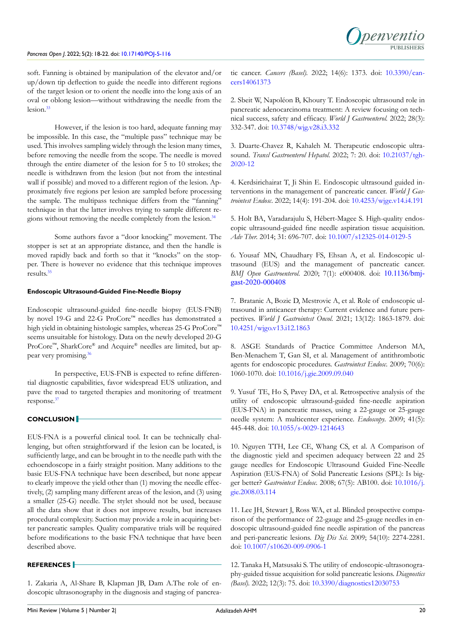

soft. Fanning is obtained by manipulation of the elevator and/or up/down tip deflection to guide the needle into different regions of the target lesion or to orient the needle into the long axis of an oval or oblong lesion—without withdrawing the needle from the lesion.[33](#page-3-11)

However, if the lesion is too hard, adequate fanning may be impossible. In this case, the "multiple pass" technique may be used. This involves sampling widely through the lesion many times, before removing the needle from the scope. The needle is moved through the entire diameter of the lesion for 5 to 10 strokes; the needle is withdrawn from the lesion (but not from the intestinal wall if possible) and moved to a different region of the lesion. Approximately five regions per lesion are sampled before processing the sample. The multipass technique differs from the "fanning" technique in that the latter involves trying to sample different regions without removing the needle completely from the lesion.[34](#page-3-12)

Some authors favor a "door knocking" movement. The stopper is set at an appropriate distance, and then the handle is moved rapidly back and forth so that it "knocks" on the stopper. There is however no evidence that this technique improves results.[35](#page-3-13)

#### **Endoscopic Ultrasound-Guided Fine-Needle Biopsy**

Endoscopic ultrasound-guided fine-needle biopsy (EUS-FNB) by novel 19-G and 22-G ProCore™ needles has demonstrated a high yield in obtaining histologic samples, whereas 25-G ProCore™ seems unsuitable for histology. Data on the newly developed 20-G ProCore™, SharkCore® and Acquire® needles are limited, but ap-pear very promising.<sup>[36](#page-4-0)</sup>

In perspective, EUS-FNB is expected to refine differential diagnostic capabilities, favor widespread EUS utilization, and pave the road to targeted therapies and monitoring of treatment response.[37](#page-4-1)

# **CONCLUSION**

EUS-FNA is a powerful clinical tool. It can be technically challenging, but often straightforward if the lesion can be located, is sufficiently large, and can be brought in to the needle path with the echoendoscope in a fairly straight position. Many additions to the basic EUS-FNA technique have been described, but none appear to clearly improve the yield other than (1) moving the needle effectively, (2) sampling many different areas of the lesion, and (3) using a smaller (25-G) needle. The stylet should not be used, because all the data show that it does not improve results, but increases procedural complexity. Suction may provide a role in acquiring better pancreatic samples. Quality comparative trials will be required before modifications to the basic FNA technique that have been described above.

### **REFERENCES**

<span id="page-2-0"></span>1. Zakaria A, Al-Share B, Klapman JB, Dam A.The role of endoscopic ultrasonography in the diagnosis and staging of pancreatic cancer. *Cancers (Basel).* 2022; 14(6): 1373. doi: [10.3390/can](http://doi.org/10.3390/cancers14061373)[cers14061373](http://doi.org/10.3390/cancers14061373)

2. Sbeit W, Napoléon B, Khoury T. Endoscopic ultrasound role in pancreatic adenocarcinoma treatment: A review focusing on technical success, safety and efficacy. *World J Gastroenterol.* 2022; 28(3): 332-347. doi: [10.3748/wjg.v28.i3.332](http://doi.org/10.3748/wjg.v28.i3.332)

<span id="page-2-1"></span>3. Duarte-Chavez R, Kahaleh M. Therapeutic endoscopic ultrasound. *Transl Gastroenterol Hepatol.* 2022; 7: 20. doi: [10.21037/tgh-](http://doi.org/10.21037/tgh-2020-12)[2020-12](http://doi.org/10.21037/tgh-2020-12)

4. Kerdsirichairat T, Ji Shin E. Endoscopic ultrasound guided interventions in the management of pancreatic cancer. *World J Gastrointest Endosc*. 2022; 14(4): 191-204. doi: [10.4253/wjge.v14.i4.191](http://doi.org/10.4253/wjge.v14.i4.191)

5. Holt BA, Varadarajulu S, Hébert-Magee S. High-quality endoscopic ultrasound-guided fine needle aspiration tissue acquisition. *Adv Ther.* 2014; 31: 696-707. doi: [10.1007/s12325-014-0129-5](http://doi.org/10.1007/s12325-014-0129-5)

<span id="page-2-2"></span>6. Yousaf MN, Chaudhary FS, Ehsan A, et al. Endoscopic ultrasound (EUS) and the management of pancreatic cancer. *BMJ Open Gastroenterol*. 2020; 7(1): e000408. doi: [10.1136/bmj](http://doi.org/10.1136/bmjgast-2020-000408)[gast-2020-000408](http://doi.org/10.1136/bmjgast-2020-000408)

<span id="page-2-3"></span>7. Bratanic A, Bozic D, Mestrovic A, et al. Role of endoscopic ultrasound in anticancer therapy: Current evidence and future perspectives. *World J Gastrointest Oncol*. 2021; 13(12): 1863-1879. doi: [10.4251/wjgo.v13.i12.1863](http://doi.org/10.4251/wjgo.v13.i12.1863)

<span id="page-2-4"></span>8. ASGE Standards of Practice Committee Anderson MA, Ben-Menachem T, Gan SI, et al. Management of antithrombotic agents for endoscopic procedures. *Gastrointest Endosc*. 2009; 70(6): 1060-1070. doi: [10.1016/j.gie.2009.09.040](http://doi.org/10.1016/j.gie.2009.09.040)

<span id="page-2-5"></span>9. Yusuf TE, Ho S, Pavey DA, et al. Retrospective analysis of the utility of endoscopic ultrasound-guided fine-needle aspiration (EUS-FNA) in pancreatic masses, using a 22-gauge or 25-gauge needle system: A multicenter experience. *Endoscopy*. 2009; 41(5): 445-448. doi: [10.1055/s-0029-1214643](http://doi.org/10.1055/s-0029-1214643)

<span id="page-2-6"></span>10. Nguyen TTH, Lee CE, Whang CS, et al. A Comparison of the diagnostic yield and specimen adequacy between 22 and 25 gauge needles for Endoscopic Ultrasound Guided Fine-Needle Aspiration (EUS-FNA) of Solid Pancreatic Lesions (SPL): Is bigger better? *Gastrointest Endosc*. 2008; 67(5): AB100. doi: [10.1016/j.](http://doi.org/10.1016/j.gie.2008.03.114) [gie.2008.03.114](http://doi.org/10.1016/j.gie.2008.03.114)

<span id="page-2-7"></span>11. Lee JH, Stewart J, Ross WA, et al. Blinded prospective comparison of the performance of 22-gauge and 25-gauge needles in endoscopic ultrasound-guided fine needle aspiration of the pancreas and peri-pancreatic lesions. *Dig Dis Sci.* 2009; 54(10): 2274-2281. doi: [10.1007/s10620-009-0906-1](http://doi.org/10.1007/s10620-009-0906-1)

<span id="page-2-8"></span>12. Tanaka H, Matsusaki S. The utility of endoscopic-ultrasonography-guided tissue acquisition for solid pancreatic lesions. *Diagnostics (Basel).* 2022; 12(3): 75. doi: [10.3390/diagnostics12030753](http://doi.org/10.3390/diagnostics12030753)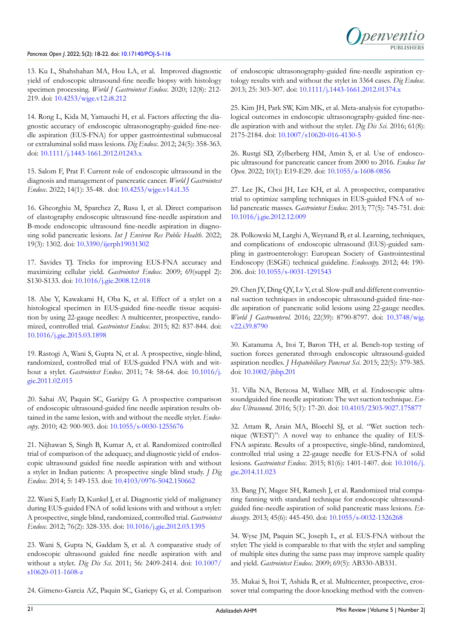13. Ku L, Shahshahan MA, Hou LA, et al. Improved diagnostic yield of endoscopic ultrasound-fine needle biopsy with histology specimen processing. *World J Gastrointest Endosc*. 2020; 12(8): 212- 219. doi: [10.4253/wjge.v12.i8.212](http://doi.org/10.4253/wjge.v12.i8.212)

14. Rong L, Kida M, Yamauchi H, et al. Factors affecting the diagnostic accuracy of endoscopic ultrasonography-guided fine-needle aspiration (EUS-FNA) for upper gastrointestinal submucosal or extraluminal solid mass lesions. *Dig Endosc*. 2012; 24(5): 358-363. doi: [10.1111/j.1443-1661.2012.01243.x](http://doi.org/10.1111/j.1443-1661.2012.01243.x)

15. Salom F, Prat F. Current role of endoscopic ultrasound in the diagnosis and management of pancreatic cancer. *World J Gastrointest Endosc*. 2022; 14(1): 35-48. doi: [10.4253/wjge.v14.i1.35](http://doi.org/10.4253/wjge.v14.i1.35)

16. Gheorghiu M, Sparchez Z, Rusu I, et al. Direct comparison of elastography endoscopic ultrasound fine-needle aspiration and B-mode endoscopic ultrasound fine-needle aspiration in diagnosing solid pancreatic lesions. *Int J Environ Res Public Health*. 2022; 19(3): 1302. doi: [10.3390/ijerph19031302](http://doi.org/10.3390/ijerph19031302)

17. Savides TJ. Tricks for improving EUS-FNA accuracy and maximizing cellular yield. *Gastrointest Endosc*. 2009; 69(suppl 2): S130-S133. doi: [10.1016/j.gie.2008.12.018](http://doi.org/10.1016/j.gie.2008.12.018)

<span id="page-3-0"></span>18. Abe Y, Kawakami H, Oba K, et al. Effect of a stylet on a histological specimen in EUS-guided fine-needle tissue acquisition by using 22-gauge needles: A multicenter, prospective, randomized, controlled trial. *Gastrointest Endosc*. 2015; 82: 837-844. doi: [10.1016/j.gie.2015.03.1898](http://doi.org/10.1016/j.gie.2015.03.1898)

19. Rastogi A, Wani S, Gupta N, et al. A prospective, single-blind, randomized, controlled trial of EUS-guided FNA with and without a stylet. *Gastrointest Endosc*. 2011; 74: 58-64. doi: [10.1016/j.](http://doi.org/10.1016/j.gie.2011.02.015) [gie.2011.02.015](http://doi.org/10.1016/j.gie.2011.02.015)

<span id="page-3-3"></span>20. Sahai AV, Paquin SC, Gariépy G. A prospective comparison of endoscopic ultrasound-guided fine needle aspiration results obtained in the same lesion, with and without the needle stylet. *Endoscopy*. 2010; 42: 900-903. doi: [10.1055/s-0030-1255676](http://doi.org/10.1055/s-0030-1255676)

21. Nijhawan S, Singh B, Kumar A, et al. Randomized controlled trial of comparison of the adequacy, and diagnostic yield of endoscopic ultrasound guided fine needle aspiration with and without a stylet in Indian patients: A prospective single blind study. *J Dig Endosc*. 2014; 5: 149-153. doi: [10.4103/0976-5042.150662](http://doi.org/10.4103/0976-5042.150662)

22. Wani S, Early D, Kunkel J, et al. Diagnostic yield of malignancy during EUS-guided FNA of solid lesions with and without a stylet: A prospective, single blind, randomized, controlled trial. *Gastrointest Endosc.* 2012; 76(2): 328-335. doi: [10.1016/j.gie.2012.03.1395](http://doi.org/10.1016/j.gie.2012.03.1395)

<span id="page-3-1"></span>23. Wani S, Gupta N, Gaddam S, et al. A comparative study of endoscopic ultrasound guided fine needle aspiration with and without a stylet. *Dig Dis Sci*. 2011; 56: 2409-2414. doi: [10.1007/](http://doi.org/10.1007/s10620-011-1608-z) [s10620-011-1608-z](http://doi.org/10.1007/s10620-011-1608-z)

24. Gimeno-Garcia AZ, Paquin SC, Gariepy G, et al. Comparison

of endoscopic ultrasonography-guided fine-needle aspiration cytology results with and without the stylet in 3364 cases. *Dig Endosc*. 2013; 25: 303-307. doi: [10.1111/j.1443-1661.2012.01374.x](http://doi.org/10.1111/j.1443-1661.2012.01374.x)

<span id="page-3-2"></span>25. Kim JH, Park SW, Kim MK, et al. Meta-analysis for cytopathological outcomes in endoscopic ultrasonography-guided fine-needle aspiration with and without the stylet. *Dig Dis Sci.* 2016; 61(8): 2175-2184. doi: [10.1007/s10620-016-4130-5](http://doi.org/10.1007/s10620-016-4130-5)

<span id="page-3-4"></span>26. Rustgi SD, Zylberberg HM, Amin S, et al. Use of endoscopic ultrasound for pancreatic cancer from 2000 to 2016. *Endosc Int Open*. 2022; 10(1): E19-E29. doi: [10.1055/a-1608-0856](http://doi.org/10.1055/a-1608-0856)

<span id="page-3-5"></span>27. Lee JK, Choi JH, Lee KH, et al. A prospective, comparative trial to optimize sampling techniques in EUS-guided FNA of solid pancreatic masses. *Gastrointest Endosc*. 2013; 77(5): 745-751. doi: [10.1016/j.gie.2012.12.009](http://doi.org/10.1016/j.gie.2012.12.009)

<span id="page-3-6"></span>28. Polkowski M, Larghi A, Weynand B, et al. Learning, techniques, and complications of endoscopic ultrasound (EUS)-guided sampling in gastroenterology: European Society of Gastrointestinal Endoscopy (ESGE) technical guideline. *Endoscopy.* 2012; 44: 190- 206. doi: [10.1055/s-0031-1291543](http://doi.org/10.1055/s-0031-1291543)

<span id="page-3-7"></span>29. Chen JY, Ding QY, Lv Y, et al. Slow-pull and different conventional suction techniques in endoscopic ultrasound-guided fine-needle aspiration of pancreatic solid lesions using 22-gauge needles. *World J Gastroenterol*. 2016; 22(39): 8790-8797. doi: [10.3748/wjg.](http://doi.org/10.3748/wjg.v22.i39.8790) [v22.i39.8790](http://doi.org/10.3748/wjg.v22.i39.8790)

<span id="page-3-8"></span>30. Katanuma A, Itoi T, Baron TH, et al. Bench-top testing of suction forces generated through endoscopic ultrasound-guided aspiration needles. *J Hepatobiliary Pancreat Sci*. 2015; 22(5): 379-385. doi: [10.1002/jhbp.201](http://doi.org/10.1002/jhbp.201)

<span id="page-3-9"></span>31. Villa NA, Berzosa M, Wallace MB, et al. Endoscopic ultrasoundguided fine needle aspiration: The wet suction technique. *Endosc Ultrasound*. 2016; 5(1): 17-20. doi: [10.4103/2303-9027.175877](http://doi.org/10.4103/2303-9027.175877)

<span id="page-3-10"></span>32. Attam R, Arain MA, Bloechl SJ, et al. "Wet suction technique (WEST)": A novel way to enhance the quality of EUS-FNA aspirate. Results of a prospective, single-blind, randomized, controlled trial using a 22-gauge needle for EUS-FNA of solid lesions. *Gastrointest Endosc*. 2015; 81(6): 1401-1407. doi: [10.1016/j.](http://doi.org/10.1016/j.gie.2014.11.023) [gie.2014.11.023](http://doi.org/10.1016/j.gie.2014.11.023)

<span id="page-3-11"></span>33. Bang JY, Magee SH, Ramesh J, et al. Randomized trial comparing fanning with standard technique for endoscopic ultrasoundguided fine-needle aspiration of solid pancreatic mass lesions. *Endoscopy*. 2013; 45(6): 445-450. doi: [10.1055/s-0032-1326268](http://doi.org/10.1055/s-0032-1326268)

<span id="page-3-12"></span>34. Wyse JM, Paquin SC, Joseph L, et al. EUS-FNA without the stylet: The yield is comparable to that with the stylet and sampling of multiple sites during the same pass may improve sample quality and yield. *Gastrointest Endosc.* 2009; 69(5): AB330-AB331.

<span id="page-3-13"></span>35. Mukai S, Itoi T, Ashida R, et al. Multicenter, prospective, crossover trial comparing the door-knocking method with the conven-